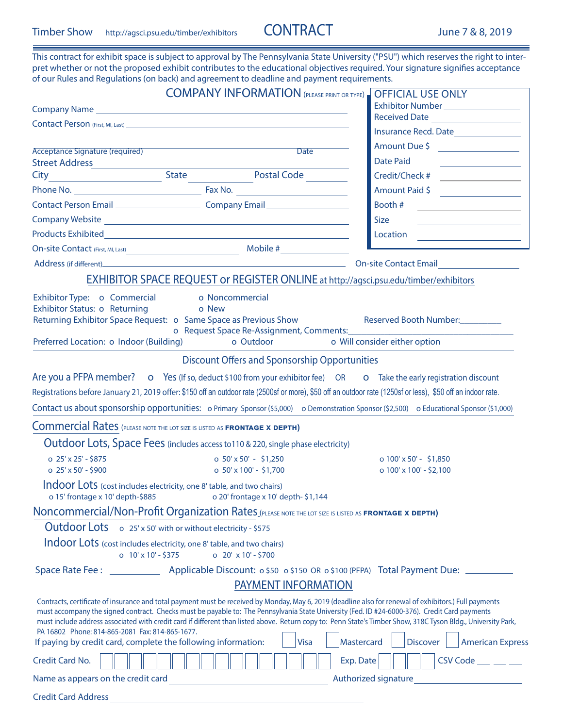Credit Card Address

This contract for exhibit space is subject to approval by The Pennsylvania State University ("PSU") which reserves the right to inter-

| pret whether or not the proposed exhibit contributes to the educational objectives required. Your signature signifies acceptance<br>of our Rules and Regulations (on back) and agreement to deadline and payment requirements.                                                                                                                                                                                                                                                                                                                                                               |                                                                                             |                                                                     |                         |                                                                                                                                 |                                     |                                          |                                                                                                                                                                                                                                                                                                                                                                                                                                                                                                                |  |  |  |
|----------------------------------------------------------------------------------------------------------------------------------------------------------------------------------------------------------------------------------------------------------------------------------------------------------------------------------------------------------------------------------------------------------------------------------------------------------------------------------------------------------------------------------------------------------------------------------------------|---------------------------------------------------------------------------------------------|---------------------------------------------------------------------|-------------------------|---------------------------------------------------------------------------------------------------------------------------------|-------------------------------------|------------------------------------------|----------------------------------------------------------------------------------------------------------------------------------------------------------------------------------------------------------------------------------------------------------------------------------------------------------------------------------------------------------------------------------------------------------------------------------------------------------------------------------------------------------------|--|--|--|
|                                                                                                                                                                                                                                                                                                                                                                                                                                                                                                                                                                                              |                                                                                             | <b>COMPANY INFORMATION (PLEASE PRINT OR TYPE)</b> OFFICIAL USE ONLY |                         |                                                                                                                                 |                                     |                                          |                                                                                                                                                                                                                                                                                                                                                                                                                                                                                                                |  |  |  |
|                                                                                                                                                                                                                                                                                                                                                                                                                                                                                                                                                                                              |                                                                                             |                                                                     |                         |                                                                                                                                 | Exhibitor Number___________________ |                                          |                                                                                                                                                                                                                                                                                                                                                                                                                                                                                                                |  |  |  |
|                                                                                                                                                                                                                                                                                                                                                                                                                                                                                                                                                                                              |                                                                                             |                                                                     |                         |                                                                                                                                 | Received Date                       |                                          |                                                                                                                                                                                                                                                                                                                                                                                                                                                                                                                |  |  |  |
|                                                                                                                                                                                                                                                                                                                                                                                                                                                                                                                                                                                              |                                                                                             |                                                                     |                         |                                                                                                                                 |                                     |                                          |                                                                                                                                                                                                                                                                                                                                                                                                                                                                                                                |  |  |  |
| <b>Acceptance Signature (required)</b>                                                                                                                                                                                                                                                                                                                                                                                                                                                                                                                                                       |                                                                                             |                                                                     | Date                    |                                                                                                                                 |                                     |                                          | Amount Due \$                                                                                                                                                                                                                                                                                                                                                                                                                                                                                                  |  |  |  |
|                                                                                                                                                                                                                                                                                                                                                                                                                                                                                                                                                                                              |                                                                                             |                                                                     |                         | Date Paid                                                                                                                       |                                     |                                          | <u> 1980 - Johann Barn, mars an t-Amerikaansk kommunister (</u>                                                                                                                                                                                                                                                                                                                                                                                                                                                |  |  |  |
| City State Postal Code                                                                                                                                                                                                                                                                                                                                                                                                                                                                                                                                                                       |                                                                                             |                                                                     |                         |                                                                                                                                 |                                     |                                          |                                                                                                                                                                                                                                                                                                                                                                                                                                                                                                                |  |  |  |
|                                                                                                                                                                                                                                                                                                                                                                                                                                                                                                                                                                                              | Phone No.                                                                                   |                                                                     |                         | Amount Paid \$                                                                                                                  |                                     |                                          |                                                                                                                                                                                                                                                                                                                                                                                                                                                                                                                |  |  |  |
| Contact Person Email<br>Company Email                                                                                                                                                                                                                                                                                                                                                                                                                                                                                                                                                        |                                                                                             |                                                                     |                         | Booth #<br><u> 1980 - Andrea Station Barbara, politik eta provincia eta provincia eta provincia eta provincia eta provincia</u> |                                     |                                          |                                                                                                                                                                                                                                                                                                                                                                                                                                                                                                                |  |  |  |
|                                                                                                                                                                                                                                                                                                                                                                                                                                                                                                                                                                                              |                                                                                             |                                                                     |                         | Size                                                                                                                            |                                     |                                          |                                                                                                                                                                                                                                                                                                                                                                                                                                                                                                                |  |  |  |
|                                                                                                                                                                                                                                                                                                                                                                                                                                                                                                                                                                                              |                                                                                             |                                                                     |                         |                                                                                                                                 |                                     |                                          | $\begin{tabular}{ c c c } \hline \multicolumn{3}{ c }{\textbf{Location}} & \multicolumn{3}{ c }{\textbf{Location}}\\ \hline \multicolumn{3}{ c }{\textbf{Location}} & \multicolumn{3}{ c }{\textbf{Location}}\\ \hline \multicolumn{3}{ c }{\textbf{Location}} & \multicolumn{3}{ c }{\textbf{Conver}}\\ \hline \multicolumn{3}{ c }{\textbf{Location}} & \multicolumn{3}{ c }{\textbf{Conver}}\\ \hline \multicolumn{3}{ c }{\textbf{Object}} & \multicolumn{3}{ c }{\textbf{Conver}}\\ \hline \multicolumn{$ |  |  |  |
| On-site Contact (First, MI, Last) Mobile #                                                                                                                                                                                                                                                                                                                                                                                                                                                                                                                                                   |                                                                                             |                                                                     |                         |                                                                                                                                 |                                     |                                          |                                                                                                                                                                                                                                                                                                                                                                                                                                                                                                                |  |  |  |
|                                                                                                                                                                                                                                                                                                                                                                                                                                                                                                                                                                                              |                                                                                             |                                                                     |                         |                                                                                                                                 |                                     | <b>On-site Contact Email CONTEX 1999</b> |                                                                                                                                                                                                                                                                                                                                                                                                                                                                                                                |  |  |  |
|                                                                                                                                                                                                                                                                                                                                                                                                                                                                                                                                                                                              | <b>EXHIBITOR SPACE REQUEST or REGISTER ONLINE at http://agsci.psu.edu/timber/exhibitors</b> |                                                                     |                         |                                                                                                                                 |                                     |                                          |                                                                                                                                                                                                                                                                                                                                                                                                                                                                                                                |  |  |  |
| Exhibitor Type: 0 Commercial 0 Noncommercial<br>Exhibitor Status: o Returning<br>o New<br>Returning Exhibitor Space Request: o Same Space as Previous Show<br>Reserved Booth Number:<br>o Request Space Re-Assignment, Comments: National Comments:<br>o Will consider either option<br>Preferred Location: o Indoor (Building)<br>o Outdoor                                                                                                                                                                                                                                                 |                                                                                             |                                                                     |                         |                                                                                                                                 |                                     |                                          |                                                                                                                                                                                                                                                                                                                                                                                                                                                                                                                |  |  |  |
|                                                                                                                                                                                                                                                                                                                                                                                                                                                                                                                                                                                              |                                                                                             | <b>Discount Offers and Sponsorship Opportunities</b>                |                         |                                                                                                                                 |                                     |                                          |                                                                                                                                                                                                                                                                                                                                                                                                                                                                                                                |  |  |  |
|                                                                                                                                                                                                                                                                                                                                                                                                                                                                                                                                                                                              |                                                                                             |                                                                     |                         |                                                                                                                                 |                                     |                                          |                                                                                                                                                                                                                                                                                                                                                                                                                                                                                                                |  |  |  |
| Are you a PFPA member? o Yes (If so, deduct \$100 from your exhibitor fee) OR o Take the early registration discount                                                                                                                                                                                                                                                                                                                                                                                                                                                                         |                                                                                             |                                                                     |                         |                                                                                                                                 |                                     |                                          |                                                                                                                                                                                                                                                                                                                                                                                                                                                                                                                |  |  |  |
| Registrations before January 21, 2019 offer: \$150 off an outdoor rate (2500sf or more), \$50 off an outdoor rate (1250sf or less), \$50 off an indoor rate.                                                                                                                                                                                                                                                                                                                                                                                                                                 |                                                                                             |                                                                     |                         |                                                                                                                                 |                                     |                                          |                                                                                                                                                                                                                                                                                                                                                                                                                                                                                                                |  |  |  |
| Contact us about sponsorship opportunities: o Primary Sponsor (\$5,000) o Demonstration Sponsor (\$2,500) o Educational Sponsor (\$1,000)                                                                                                                                                                                                                                                                                                                                                                                                                                                    |                                                                                             |                                                                     |                         |                                                                                                                                 |                                     |                                          |                                                                                                                                                                                                                                                                                                                                                                                                                                                                                                                |  |  |  |
| <b>Commercial Rates</b> (PLEASE NOTE THE LOT SIZE IS LISTED AS <b>FRONTAGE X DEPTH)</b>                                                                                                                                                                                                                                                                                                                                                                                                                                                                                                      |                                                                                             |                                                                     |                         |                                                                                                                                 |                                     |                                          |                                                                                                                                                                                                                                                                                                                                                                                                                                                                                                                |  |  |  |
| Outdoor Lots, Space Fees (includes access to110 & 220, single phase electricity)                                                                                                                                                                                                                                                                                                                                                                                                                                                                                                             |                                                                                             |                                                                     |                         |                                                                                                                                 |                                     |                                          |                                                                                                                                                                                                                                                                                                                                                                                                                                                                                                                |  |  |  |
| $0.25'$ x 25' - \$875                                                                                                                                                                                                                                                                                                                                                                                                                                                                                                                                                                        | o $50' \times 50' - $1,250$                                                                 |                                                                     |                         |                                                                                                                                 |                                     | o $100' \times 50'$ - \$1,850            |                                                                                                                                                                                                                                                                                                                                                                                                                                                                                                                |  |  |  |
| o 25' x 50' - \$900                                                                                                                                                                                                                                                                                                                                                                                                                                                                                                                                                                          |                                                                                             | o $50' \times 100'$ - \$1,700                                       | o 100' x 100' - \$2,100 |                                                                                                                                 |                                     |                                          |                                                                                                                                                                                                                                                                                                                                                                                                                                                                                                                |  |  |  |
| Indoor Lots (cost includes electricity, one 8' table, and two chairs)<br>o 15' frontage x 10' depth-\$885                                                                                                                                                                                                                                                                                                                                                                                                                                                                                    |                                                                                             | o 20' frontage x 10' depth-\$1,144                                  |                         |                                                                                                                                 |                                     |                                          |                                                                                                                                                                                                                                                                                                                                                                                                                                                                                                                |  |  |  |
| Noncommercial/Non-Profit Organization Rates (PLEASE NOTE THE LOT SIZE IS LISTED AS FRONTAGE X DEPTH)                                                                                                                                                                                                                                                                                                                                                                                                                                                                                         |                                                                                             |                                                                     |                         |                                                                                                                                 |                                     |                                          |                                                                                                                                                                                                                                                                                                                                                                                                                                                                                                                |  |  |  |
| Outdoor Lots o 25' x 50' with or without electricity - \$575                                                                                                                                                                                                                                                                                                                                                                                                                                                                                                                                 |                                                                                             |                                                                     |                         |                                                                                                                                 |                                     |                                          |                                                                                                                                                                                                                                                                                                                                                                                                                                                                                                                |  |  |  |
| Indoor Lots (cost includes electricity, one 8' table, and two chairs)                                                                                                                                                                                                                                                                                                                                                                                                                                                                                                                        | o $10' \times 10' - $375$                                                                   | o $20' \times 10' - $700$                                           |                         |                                                                                                                                 |                                     |                                          |                                                                                                                                                                                                                                                                                                                                                                                                                                                                                                                |  |  |  |
|                                                                                                                                                                                                                                                                                                                                                                                                                                                                                                                                                                                              |                                                                                             |                                                                     |                         |                                                                                                                                 |                                     |                                          |                                                                                                                                                                                                                                                                                                                                                                                                                                                                                                                |  |  |  |
|                                                                                                                                                                                                                                                                                                                                                                                                                                                                                                                                                                                              |                                                                                             | <b>PAYMENT INFORMATION</b>                                          |                         |                                                                                                                                 |                                     |                                          |                                                                                                                                                                                                                                                                                                                                                                                                                                                                                                                |  |  |  |
| Contracts, certificate of insurance and total payment must be received by Monday, May 6, 2019 (deadline also for renewal of exhibitors.) Full payments<br>must accompany the signed contract. Checks must be payable to: The Pennsylvania State University (Fed. ID #24-6000-376). Credit Card payments<br>must include address associated with credit card if different than listed above. Return copy to: Penn State's Timber Show, 318C Tyson Bldg., University Park,<br>PA 16802 Phone: 814-865-2081 Fax: 814-865-1677.<br>If paying by credit card, complete the following information: |                                                                                             | <b>Visa</b>                                                         | Mastercard              |                                                                                                                                 | <b>Discover</b>                     |                                          | <b>American Express</b>                                                                                                                                                                                                                                                                                                                                                                                                                                                                                        |  |  |  |
| Credit Card No.                                                                                                                                                                                                                                                                                                                                                                                                                                                                                                                                                                              |                                                                                             |                                                                     | Exp. Date               |                                                                                                                                 |                                     |                                          | $CSV Code \_ \_ \_ \_$                                                                                                                                                                                                                                                                                                                                                                                                                                                                                         |  |  |  |
| Name as appears on the credit card                                                                                                                                                                                                                                                                                                                                                                                                                                                                                                                                                           |                                                                                             |                                                                     |                         |                                                                                                                                 |                                     |                                          | Authorized signature <b>Example 2018</b>                                                                                                                                                                                                                                                                                                                                                                                                                                                                       |  |  |  |
|                                                                                                                                                                                                                                                                                                                                                                                                                                                                                                                                                                                              |                                                                                             |                                                                     |                         |                                                                                                                                 |                                     |                                          |                                                                                                                                                                                                                                                                                                                                                                                                                                                                                                                |  |  |  |